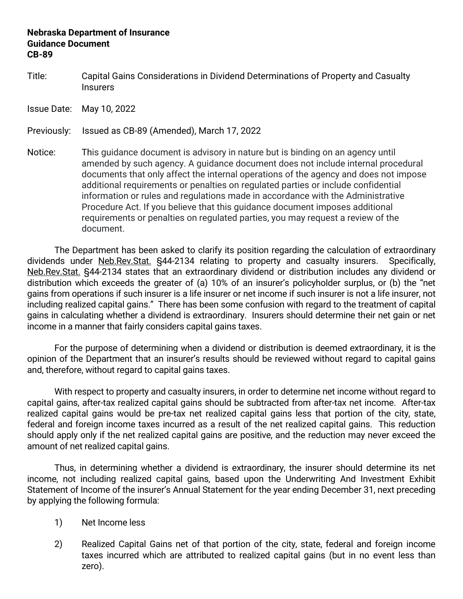## **Nebraska Department of Insurance Guidance Document CB-89**

Title: Capital Gains Considerations in Dividend Determinations of Property and Casualty **Insurers** 

Issue Date: May 10, 2022

Previously: Issued as CB-89 (Amended), March 17, 2022

Notice: This guidance document is advisory in nature but is binding on an agency until amended by such agency. A guidance document does not include internal procedural documents that only affect the internal operations of the agency and does not impose additional requirements or penalties on regulated parties or include confidential information or rules and regulations made in accordance with the Administrative Procedure Act. If you believe that this guidance document imposes additional requirements or penalties on regulated parties, you may request a review of the document.

The Department has been asked to clarify its position regarding the calculation of extraordinary dividends under Neb.Rev.Stat. §44-2134 relating to property and casualty insurers. Specifically, Neb.Rev.Stat. §44-2134 states that an extraordinary dividend or distribution includes any dividend or distribution which exceeds the greater of (a) 10% of an insurer's policyholder surplus, or (b) the "net gains from operations if such insurer is a life insurer or net income if such insurer is not a life insurer, not including realized capital gains." There has been some confusion with regard to the treatment of capital gains in calculating whether a dividend is extraordinary. Insurers should determine their net gain or net income in a manner that fairly considers capital gains taxes.

For the purpose of determining when a dividend or distribution is deemed extraordinary, it is the opinion of the Department that an insurer's results should be reviewed without regard to capital gains and, therefore, without regard to capital gains taxes.

With respect to property and casualty insurers, in order to determine net income without regard to capital gains, after-tax realized capital gains should be subtracted from after-tax net income. After-tax realized capital gains would be pre-tax net realized capital gains less that portion of the city, state, federal and foreign income taxes incurred as a result of the net realized capital gains. This reduction should apply only if the net realized capital gains are positive, and the reduction may never exceed the amount of net realized capital gains.

Thus, in determining whether a dividend is extraordinary, the insurer should determine its net income, not including realized capital gains, based upon the Underwriting And Investment Exhibit Statement of Income of the insurer's Annual Statement for the year ending December 31, next preceding by applying the following formula:

- 1) Net Income less
- 2) Realized Capital Gains net of that portion of the city, state, federal and foreign income taxes incurred which are attributed to realized capital gains (but in no event less than zero).